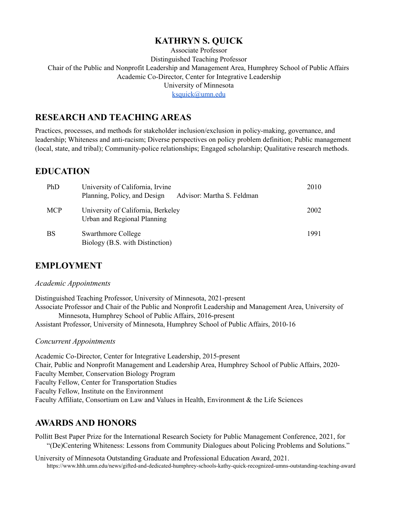# **KATHRYN S. QUICK**

Associate Professor Distinguished Teaching Professor Chair of the Public and Nonprofit Leadership and Management Area, Humphrey School of Public Affairs Academic Co-Director, Center for Integrative Leadership University of Minnesota

[ksquick@umn.edu](mailto:ksquick@umn.edu)

# **RESEARCH AND TEACHING AREAS**

Practices, processes, and methods for stakeholder inclusion/exclusion in policy-making, governance, and leadership; Whiteness and anti-racism; Diverse perspectives on policy problem definition; Public management (local, state, and tribal); Community-police relationships; Engaged scholarship; Qualitative research methods.

## **EDUCATION**

| PhD        | University of California, Irvine<br>Planning, Policy, and Design<br>Advisor: Martha S. Feldman | 2010 |
|------------|------------------------------------------------------------------------------------------------|------|
| <b>MCP</b> | University of California, Berkeley<br>Urban and Regional Planning                              | 2002 |
| <b>BS</b>  | <b>Swarthmore College</b><br>Biology (B.S. with Distinction)                                   | 1991 |

# **EMPLOYMENT**

#### *Academic Appointments*

Distinguished Teaching Professor, University of Minnesota, 2021-present Associate Professor and Chair of the Public and Nonprofit Leadership and Management Area, University of Minnesota, Humphrey School of Public Affairs, 2016-present Assistant Professor, University of Minnesota, Humphrey School of Public Affairs, 2010-16

#### *Concurrent Appointments*

Academic Co-Director, Center for Integrative Leadership, 2015-present Chair, Public and Nonprofit Management and Leadership Area, Humphrey School of Public Affairs, 2020- Faculty Member, Conservation Biology Program Faculty Fellow, Center for Transportation Studies Faculty Fellow, Institute on the Environment Faculty Affiliate, Consortium on Law and Values in Health, Environment & the Life Sciences

# **AWARDS AND HONORS**

Pollitt Best Paper Prize for the International Research Society for Public Management Conference, 2021, for "(De)Centering Whiteness: Lessons from Community Dialogues about Policing Problems and Solutions."

University of Minnesota Outstanding Graduate and Professional Education Award, 2021. https://www.hhh.umn.edu/news/gifted-and-dedicated-humphrey-schools-kathy-quick-recognized-umns-outstanding-teaching-award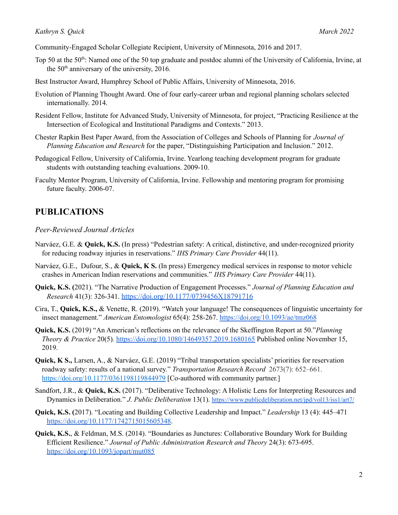Community-Engaged Scholar Collegiate Recipient, University of Minnesota, 2016 and 2017.

- Top 50 at the 50<sup>th</sup>: Named one of the 50 top graduate and postdoc alumni of the University of California, Irvine, at the  $50<sup>th</sup>$  anniversary of the university, 2016.
- Best Instructor Award, Humphrey School of Public Affairs, University of Minnesota, 2016.
- Evolution of Planning Thought Award. One of four early-career urban and regional planning scholars selected internationally. 2014.
- Resident Fellow, Institute for Advanced Study, University of Minnesota, for project, "Practicing Resilience at the Intersection of Ecological and Institutional Paradigms and Contexts." 2013.
- Chester Rapkin Best Paper Award, from the Association of Colleges and Schools of Planning for *Journal of Planning Education and Research* for the paper, "Distinguishing Participation and Inclusion." 2012.
- Pedagogical Fellow, University of California, Irvine. Yearlong teaching development program for graduate students with outstanding teaching evaluations. 2009-10.
- Faculty Mentor Program, University of California, Irvine. Fellowship and mentoring program for promising future faculty. 2006-07.

## **PUBLICATIONS**

#### *Peer-Reviewed Journal Articles*

- Narváez, G.E. & **Quick, K.S.** (In press) "Pedestrian safety: A critical, distinctive, and under-recognized priority for reducing roadway injuries in reservations." *IHS Primary Care Provider* 44(11).
- Narváez, G.E., Dufour, S., & **Quick, K S.** (In press) Emergency medical services in response to motor vehicle crashes in American Indian reservations and communities." *IHS Primary Care Provider* 44(11).
- **Quick, K.S. (**2021). "The Narrative Production of Engagement Processes." *Journal of Planning Education and Research* 41(3): 326-341. <https://doi.org/10.1177/0739456X18791716>
- Cira, T., **Quick, K.S.,** & Venette, R. (2019). "Watch your language! The consequences of linguistic uncertainty for insect management." *American Entomologist* 65(4): 258-267. <https://doi.org/10.1093/ae/tmz068>
- **Quick, K.S.** (2019) "An American's reflections on the relevance of the Skeffington Report at 50."*Planning Theory & Practice* 20(5)*.* <https://doi.org/10.1080/14649357.2019.1680165> Published online November 15, 2019.
- **Quick, K S.,** Larsen, A., & Narváez, G.E. (2019) "Tribal transportation specialists' priorities for reservation roadway safety: results of a national survey." *Transportation Research Record* 2673(7): 652–661. <https://doi.org/10.1177/0361198119844979> [Co-authored with community partner.]
- Sandfort, J.R., & **Quick, K.S.** (2017). "Deliberative Technology: A Holistic Lens for Interpreting Resources and Dynamics in Deliberation." *J. Public Deliberation* 13(1). <https://www.publicdeliberation.net/jpd/vol13/iss1/art7/>
- **Quick, K.S. (**2017). "Locating and Building Collective Leadership and Impact." *Leadership* 13 (4): 445–471 <https://doi.org/10.1177/1742715015605348>.
- **Quick, K.S.**, & Feldman, M.S. (2014). "Boundaries as Junctures: Collaborative Boundary Work for Building Efficient Resilience." *Journal of Public Administration Research and Theory* 24(3): 673-695. <https://doi.org/10.1093/jopart/mut085>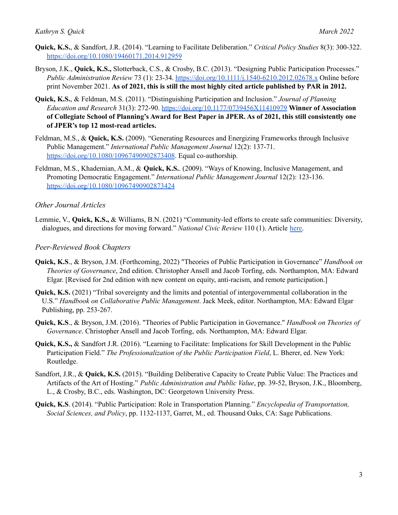- **Quick, K.S.**, & Sandfort, J.R. (2014). "Learning to Facilitate Deliberation." *Critical Policy Studies* 8(3): 300-322. <https://doi.org/10.1080/19460171.2014.912959>
- Bryson, J.K., **Quick, K.S.,** Slotterback, C.S., & Crosby, B.C. (2013). "Designing Public Participation Processes." *Public Administration Review* 73 (1): 23-34. <https://doi.org/10.1111/j.1540-6210.2012.02678.x> Online before print November 2021. **As of 2021, this is still the most highly cited article published by PAR in 2012.**
- **Quick, K.S.**, & Feldman, M.S. (2011). "Distinguishing Participation and Inclusion." *Journal of Planning Education and Research* 31(3): 272-90. <https://doi.org/10.1177/0739456X11410979> **Winner of Association** of Collegiate School of Planning's Award for Best Paper in JPER. As of 2021, this still consistently one **of JPER's top 12 most-read articles.**
- Feldman, M.S., & **Quick, K.S.** (2009). "Generating Resources and Energizing Frameworks through Inclusive Public Management." *International Public Management Journal* 12(2): 137-71. <https://doi.org/10.1080/10967490902873408>. Equal co-authorship.
- Feldman, M.S., Khademian, A.M., & **Quick, K.S.**. (2009). "Ways of Knowing, Inclusive Management, and Promoting Democratic Engagement." *International Public Management Journal* 12(2): 123-136. <https://doi.org/10.1080/10967490902873424>

## *Other Journal Articles*

Lemmie, V., **Quick, K.S.,** & Williams, B.N. (2021) "Community-led efforts to create safe communities: Diversity, dialogues, and directions for moving forward." *National Civic Review* 110 (1). Article [here.](https://www.nationalcivicleague.org/ncr-article/community-led-efforts-to-create-safe-communities-diversity-dialogues-and-directions-for-moving-forward/)

## *Peer-Reviewed Book Chapters*

- **Quick, K.S**., & Bryson, J.M. (Forthcoming, 2022) "Theories of Public Participation in Governance" *Handbook on Theories of Governance*, 2nd edition. Christopher Ansell and Jacob Torfing, eds. Northampton, MA: Edward Elgar. [Revised for 2nd edition with new content on equity, anti-racism, and remote participation.]
- **Quick, K.S.** (2021) "Tribal sovereignty and the limits and potential of intergovernmental collaboration in the U.S." *Handbook on Collaborative Public Management*. Jack Meek, editor. Northampton, MA: Edward Elgar Publishing, pp. 253-267.
- **Quick, K.S**., & Bryson, J.M. (2016). "Theories of Public Participation in Governance." *Handbook on Theories of Governance*. Christopher Ansell and Jacob Torfing, eds. Northampton, MA: Edward Elgar.
- **Quick, K.S.,** & Sandfort J.R. (2016). "Learning to Facilitate: Implications for Skill Development in the Public Participation Field." *The Professionalization of the Public Participation Field*, L. Bherer, ed. New York: Routledge.
- Sandfort, J.R., & **Quick, K.S.** (2015). "Building Deliberative Capacity to Create Public Value: The Practices and Artifacts of the Art of Hosting." *Public Administration and Public Value*, pp. 39-52, Bryson, J.K., Bloomberg, L., & Crosby, B.C., eds. Washington, DC: Georgetown University Press.
- **Quick, K.S**. (2014). "Public Participation: Role in Transportation Planning." *Encyclopedia of Transportation, Social Sciences, and Policy*, pp. 1132-1137, Garret, M., ed. Thousand Oaks, CA: Sage Publications.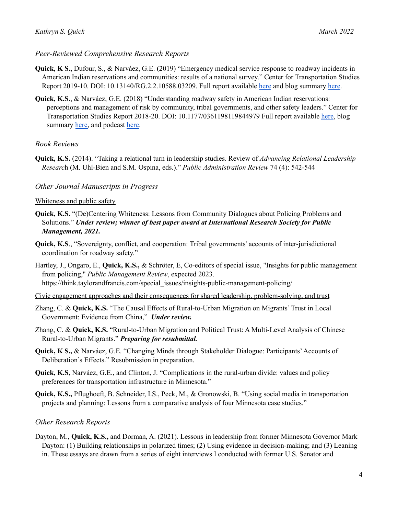## *Peer-Reviewed Comprehensive Research Reports*

- **Quick, K S.,** Dufour, S., & Narváez, G.E. (2019) "Emergency medical service response to roadway incidents in American Indian reservations and communities: results of a national survey." Center for Transportation Studies Report 2019-10. DOI: 10.13140/RG.2.2.10588.03209. Full report available [here](http://www.cts.umn.edu/Publications/ResearchReports/reportdetail.html?id=2788) and blog summary [here.](http://cts.umn.edu/publications/catalyst/2019/september/ems)
- **Quick, K.S.**, & Narváez, G.E. (2018) "Understanding roadway safety in American Indian reservations: perceptions and management of risk by community, tribal governments, and other safety leaders." Center for Transportation Studies Report 2018-20. DOI: 10.1177/0361198119844979 Full report available [here](https://drive.google.com/file/d/1ft9WsD4sKUrbEOAjOCFCc6cPF69T0bFD/view), blog summary [here,](https://www.hhh.umn.edu/news/researchers-tribes-collaborate-advance-roadway-safety-minnesota-reservations) and podcast [here.](https://civios.umn.edu/podcast/advancing-roadway-safety-american-indian-reservations/)

## *Book Reviews*

**Quick, K.S.** (2014). "Taking a relational turn in leadership studies. Review of *Advancing Relational Leadership Researc*h (M. Uhl-Bien and S.M. Ospina, eds.)." *Public Administration Review* 74 (4): 542-544

## *Other Journal Manuscripts in Progress*

#### Whiteness and public safety

- **Quick, K.S.** "(De)Centering Whiteness: Lessons from Community Dialogues about Policing Problems and Solutions." *Under review; winner of best paper award at International Research Society for Public Management, 2021.*
- **Quick, K.S**., "Sovereignty, conflict, and cooperation: Tribal governments' accounts of inter-jurisdictional coordination for roadway safety."
- Hartley, J., Ongaro, E., **Quick, K.S.,** & Schröter, E, Co-editors of special issue, "Insights for public management from policing," *Public Management Review*, expected 2023. https://think.taylorandfrancis.com/special\_issues/insights-public-management-policing/
- Civic engagement approaches and their consequences for shared leadership, problem-solving, and trust
- Zhang, C. & **Quick, K.S.** "The Causal Effects of Rural-to-Urban Migration on Migrants' Trust in Local Government: Evidence from China," *Under review.*
- Zhang, C. & **Quick, K.S.** "Rural-to-Urban Migration and Political Trust: A Multi-Level Analysis of Chinese Rural-to-Urban Migrants." *Preparing for resubmittal.*
- **Quick, K S., &** Narváez, G.E. "Changing Minds through Stakeholder Dialogue: Participants' Accounts of Deliberation's Effects." Resubmission in preparation.
- **Quick, K.S,** Narváez, G.E., and Clinton, J. "Complications in the rural-urban divide: values and policy preferences for transportation infrastructure in Minnesota."
- **Quick, K.S.,** Pflughoeft, B. Schneider, I.S., Peck, M., & Gronowski, B. "Using social media in transportation projects and planning: Lessons from a comparative analysis of four Minnesota case studies."

## *Other Research Reports*

Dayton, M., **Quick, K.S.,** and Dorman, A. (2021). Lessons in leadership from former Minnesota Governor Mark Dayton: (1) Building relationships in polarized times; (2) Using evidence in decision-making; and (3) Leaning in. These essays are drawn from a series of eight interviews I conducted with former U.S. Senator and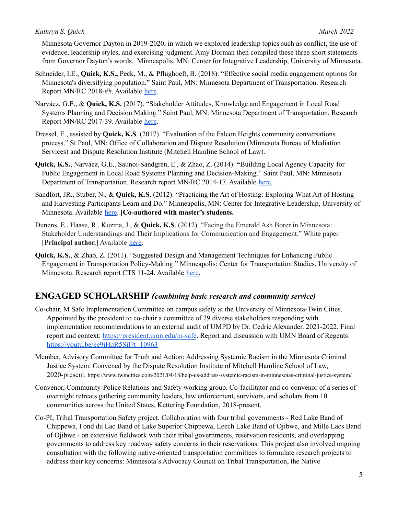Minnesota Governor Dayton in 2019-2020, in which we explored leadership topics such as conflict, the use of evidence, leadership styles, and exercising judgment. Amy Dorman then compiled these three short statements from Governor Dayton's words. Minneapolis, MN: Center for Integrative Leadership, University of Minnesota.

- Schneider, I.E., **Quick, K.S.,** Peck, M., & Pflughoeft, B. (2018). "Effective social media engagement options for Minnesota's diversifying population." Saint Paul, MN: Minnesota Department of Transportation. Research Report MN/RC 2018-##. Available [here](http://www.cts.umn.edu/Publications/ResearchReports/reportdetail.html?id=2662).
- Narváez, G.E., & **Quick, K.S.** (2017). "Stakeholder Attitudes, Knowledge and Engagement in Local Road Systems Planning and Decision Making." Saint Paul, MN: Minnesota Department of Transportation. Research Report MN/RC 2017-39. Available [here](http://mndot.gov/research/reports/2017/201739.pdf).
- Dressel, E., assisted by **Quick, K.S**. (2017). "Evaluation of the Falcon Heights community conversations process." St Paul, MN: Office of Collaboration and Dispute Resolution (Minnesota Bureau of Mediation Services) and Dispute Resolution Institute (Mitchell Hamline School of Law).
- **Quick, K.S.**, Narváez, G.E., Saunoi-Sandgren, E., & Zhao, Z. (2014). **"**Building Local Agency Capacity for Public Engagement in Local Road Systems Planning and Decision-Making." Saint Paul, MN: Minnesota Department of Transportation. Research report MN/RC 2014-17. Available [here.](http://www.dot.state.mn.us/research/reports/2014/201417.pdf)
- Sandfort, JR., Stuber, N., & **Quick, K.S.** (2012). "Practicing the Art of Hosting: Exploring What Art of Hosting and Harvesting Participants Learn and Do." Minneapolis, MN: Center for Integrative Leadership, University of Minnesota. Available [here.](https://www.researchgate.net/publication/272170381_Practicing_the_Art_of_Hosting_Exploring_what_Art_of_Hosting_and_Harvesting_workshop_participants_understand_and_do) **[Co-authored with master's students.**
- Dunens, E., Haase, R., Kuzma, J., & **Quick, K.S**. (2012). "Facing the Emerald Ash Borer in Minnesota: Stakeholder Understandings and Their Implications for Communication and Engagement." White paper. [**Principal author.**] Available [here.](https://www.researchgate.net/publication/236735970_Facing_the_Emerald_Ash_Borer_in_Minnesota_Stakeholder_Understandings_and_their_Implications_for_Communication_and_Engagement)
- **Quick, K.S.**, & Zhao, Z. (2011). "Suggested Design and Management Techniques for Enhancing Public Engagement in Transportation Policy-Making." Minneapolis: Center for Transportation Studies, University of Minnesota. Research report CTS 11-24. Available [here.](https://conservancy.umn.edu/handle/11299/116934)

# **ENGAGED SCHOLARSHIP** *(combining basic research and community service)*

- Co-chair, M Safe Implementation Committee on campus safety at the University of Minnesota-Twin Cities. Appointed by the president to co-chair a committee of 29 diverse stakeholders responding with implementation recommendations to an external audit of UMPD by Dr. Cedric Alexander. 2021-2022. Final report and context: <https://president.umn.edu/m-safe>. Report and discussion with UMN Board of Regents: <https://youtu.be/ee9jHqR5SiI?t=10963>
- Member, Advisory Committee for Truth and Action: Addressing Systemic Racism in the Minnesota Criminal Justice System. Convened by the Dispute Resolution Institute of Mitchell Hamline School of Law, 2020-present. https://www.twincities.com/2021/04/18/help-us-address-systemic-racism-in-minnesotas-criminal-justice-system/
- Convenor, Community-Police Relations and Safety working group. Co-facilitator and co-convenor of a series of overnight retreats gathering community leaders, law enforcement, survivors, and scholars from 10 communities across the United States, Kettering Foundation, 2018-present.
- Co-PI, Tribal Transportation Safety project. Collaboration with four tribal governments Red Lake Band of Chippewa, Fond du Lac Band of Lake Superior Chippewa, Leech Lake Band of Ojibwe, and Mille Lacs Band of Ojibwe - on extensive fieldwork with their tribal governments, reservation residents, and overlapping governments to address key roadway safety concerns in their reservations. This project also involved ongoing consultation with the following native-oriented transportation committees to formulate research projects to address their key concerns: Minnesota's Advocacy Council on Tribal Transportation, the Native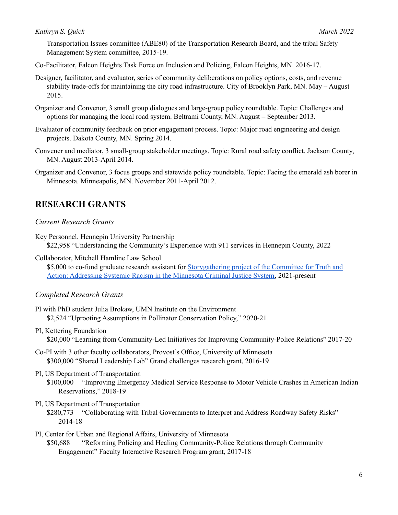Transportation Issues committee (ABE80) of the Transportation Research Board, and the tribal Safety Management System committee, 2015-19.

Co-Facilitator, Falcon Heights Task Force on Inclusion and Policing, Falcon Heights, MN. 2016-17.

- Designer, facilitator, and evaluator, series of community deliberations on policy options, costs, and revenue stability trade-offs for maintaining the city road infrastructure. City of Brooklyn Park, MN. May – August 2015.
- Organizer and Convenor, 3 small group dialogues and large-group policy roundtable. Topic: Challenges and options for managing the local road system. Beltrami County, MN. August – September 2013.
- Evaluator of community feedback on prior engagement process. Topic: Major road engineering and design projects. Dakota County, MN. Spring 2014.
- Convener and mediator, 3 small-group stakeholder meetings. Topic: Rural road safety conflict. Jackson County, MN. August 2013-April 2014.
- Organizer and Convenor, 3 focus groups and statewide policy roundtable. Topic: Facing the emerald ash borer in Minnesota. Minneapolis, MN. November 2011-April 2012.

# **RESEARCH GRANTS**

#### *Current Research Grants*

Key Personnel, Hennepin University Partnership \$22,958 "Understanding the Community's Experience with 911 services in Hennepin County, 2022

Collaborator, Mitchell Hamline Law School

\$5,000 to co-fund graduate research assistant for [Storygathering](https://www.twincities.com/2021/04/18/help-us-address-systemic-racism-in-minnesotas-criminal-justice-system/) project of the Committee for Truth and Action: [Addressing](https://www.twincities.com/2021/04/18/help-us-address-systemic-racism-in-minnesotas-criminal-justice-system/) Systemic Racism in the Minnesota Criminal Justice System, 2021-present

#### *Completed Research Grants*

- PI with PhD student Julia Brokaw, UMN Institute on the Environment \$2,524 "Uprooting Assumptions in Pollinator Conservation Policy," 2020-21
- PI, Kettering Foundation \$20,000 "Learning from Community-Led Initiatives for Improving Community-Police Relations" 2017-20
- Co-PI with 3 other faculty collaborators, Provost's Office, University of Minnesota \$300,000 "Shared Leadership Lab" Grand challenges research grant, 2016-19
- PI, US Department of Transportation

\$100,000 "Improving Emergency Medical Service Response to Motor Vehicle Crashes in American Indian Reservations," 2018-19

- PI, US Department of Transportation \$280,773 "Collaborating with Tribal Governments to Interpret and Address Roadway Safety Risks" 2014-18
- PI, Center for Urban and Regional Affairs, University of Minnesota \$50,688 "Reforming Policing and Healing Community-Police Relations through Community Engagement" Faculty Interactive Research Program grant, 2017-18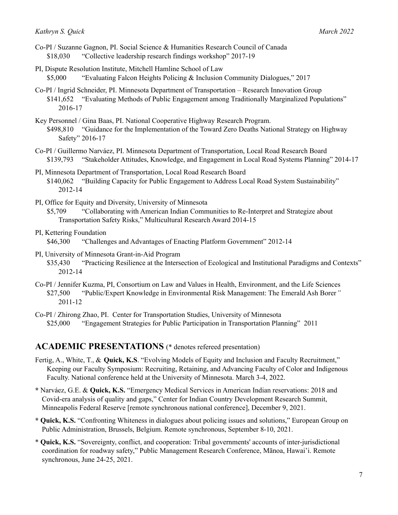- Co-PI / Suzanne Gagnon, PI. Social Science & Humanities Research Council of Canada \$18,030 "Collective leadership research findings workshop" 2017-19
- PI, Dispute Resolution Institute, Mitchell Hamline School of Law \$5,000 "Evaluating Falcon Heights Policing & Inclusion Community Dialogues," 2017
- Co-PI / Ingrid Schneider, PI. Minnesota Department of Transportation Research Innovation Group \$141,652 "Evaluating Methods of Public Engagement among Traditionally Marginalized Populations" 2016-17
- Key Personnel / Gina Baas, PI. National Cooperative Highway Research Program. \$498,810 "Guidance for the Implementation of the Toward Zero Deaths National Strategy on Highway Safety" 2016-17
- Co-PI / Guillermo Narváez, PI. Minnesota Department of Transportation, Local Road Research Board \$139,793 "Stakeholder Attitudes, Knowledge, and Engagement in Local Road Systems Planning" 2014-17
- PI, Minnesota Department of Transportation, Local Road Research Board \$140,062 "Building Capacity for Public Engagement to Address Local Road System Sustainability" 2012-14
- PI, Office for Equity and Diversity, University of Minnesota \$5,709 "Collaborating with American Indian Communities to Re-Interpret and Strategize about Transportation Safety Risks," Multicultural Research Award 2014-15
- PI, Kettering Foundation \$46,300 "Challenges and Advantages of Enacting Platform Government" 2012-14
- PI, University of Minnesota Grant-in-Aid Program \$35,430 "Practicing Resilience at the Intersection of Ecological and Institutional Paradigms and Contexts" 2012-14
- Co-PI / Jennifer Kuzma, PI, Consortium on Law and Values in Health, Environment, and the Life Sciences \$27,500 "Public/Expert Knowledge in Environmental Risk Management: The Emerald Ash Borer*"* 2011-12
- Co-PI / Zhirong Zhao, PI. Center for Transportation Studies, University of Minnesota \$25,000 "Engagement Strategies for Public Participation in Transportation Planning" 2011

## **ACADEMIC PRESENTATIONS** (\* denotes refereed presentation)

- Fertig, A., White, T., & **Quick, K.S**. "Evolving Models of Equity and Inclusion and Faculty Recruitment," Keeping our Faculty Symposium: Recruiting, Retaining, and Advancing Faculty of Color and Indigenous Faculty. National conference held at the University of Minnesota. March 3-4, 2022.
- **\*** Narváez, G.E. & **Quick, K.S.** "Emergency Medical Services in American Indian reservations: 2018 and Covid-era analysis of quality and gaps," Center for Indian Country Development Research Summit, Minneapolis Federal Reserve [remote synchronous national conference], December 9, 2021.
- **\* Quick, K.S.** "Confronting Whiteness in dialogues about policing issues and solutions," European Group on Public Administration, Brussels, Belgium. Remote synchronous, September 8-10, 2021.
- \* **Quick, K.S.** "Sovereignty, conflict, and cooperation: Tribal governments' accounts of inter-jurisdictional coordination for roadway safety," Public Management Research Conference, Mānoa, Hawai'i. Remote synchronous, June 24-25, 2021.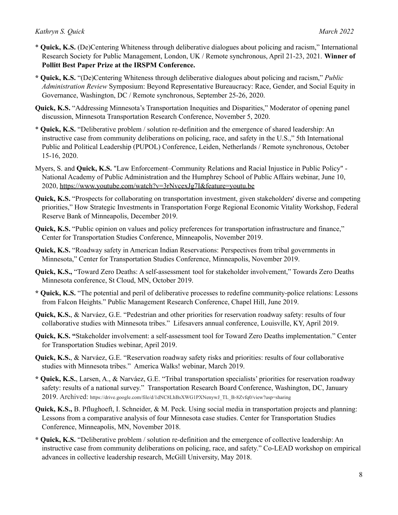- \* **Quick, K.S.** (De)Centering Whiteness through deliberative dialogues about policing and racism," International Research Society for Public Management, London, UK / Remote synchronous, April 21-23, 2021. **Winner of Pollitt Best Paper Prize at the IRSPM Conference.**
- **\* Quick, K.S.** "(De)Centering Whiteness through deliberative dialogues about policing and racism," *Public Administration Review* Symposium: Beyond Representative Bureaucracy: Race, Gender, and Social Equity in Governance, Washington, DC / Remote synchronous, September 25-26, 2020.
- **Quick, K.S.** "Addressing Minnesota's Transportation Inequities and Disparities," Moderator of opening panel discussion, Minnesota Transportation Research Conference, November 5, 2020.
- \* **Quick, K.S.** "Deliberative problem / solution re-definition and the emergence of shared leadership: An instructive case from community deliberations on policing, race, and safety in the U.S.," 5th International Public and Political Leadership (PUPOL) Conference, Leiden, Netherlands / Remote synchronous, October 15-16, 2020.
- Myers, S. and **Quick, K.S.** "Law Enforcement–Community Relations and Racial Injustice in Public Policy" National Academy of Public Administration and the Humphrey School of Public Affairs webinar, June 10, 2020, https://www.youtube.com/watch?v=3rNvcexJg7I&feature=youtu.be
- **Quick, K.S.** "Prospects for collaborating on transportation investment, given stakeholders' diverse and competing priorities," How Strategic Investments in Transportation Forge Regional Economic Vitality Workshop, Federal Reserve Bank of Minneapolis, December 2019.
- **Quick, K.S.** "Public opinion on values and policy preferences for transportation infrastructure and finance," Center for Transportation Studies Conference, Minneapolis, November 2019.
- **Quick, K.S.** "Roadway safety in American Indian Reservations: Perspectives from tribal governments in Minnesota," Center for Transportation Studies Conference, Minneapolis, November 2019.
- **Quick, K.S.,** "Toward Zero Deaths: A self-assessment tool for stakeholder involvement," Towards Zero Deaths Minnesota conference, St Cloud, MN, October 2019.
- **\* Quick, K.S.** "The potential and peril of deliberative processes to redefine community-police relations: Lessons from Falcon Heights." Public Management Research Conference, Chapel Hill, June 2019.
- **Quick, K.S.**, & Narváez, G.E. "Pedestrian and other priorities for reservation roadway safety: results of four collaborative studies with Minnesota tribes." Lifesavers annual conference, Louisville, KY, April 2019.
- **Quick, K.S. "**Stakeholder involvement: a self-assessment tool for Toward Zero Deaths implementation." Center for Transportation Studies webinar, April 2019.
- **Quick, K.S.**, & Narváez, G.E. "Reservation roadway safety risks and priorities: results of four collaborative studies with Minnesota tribes." America Walks! webinar, March 2019.
- **\* Quick, K.S.**, Larsen, A., & Narváez, G.E. "Tribal transportation specialists' priorities for reservation roadway safety: results of a national survey." Transportation Research Board Conference, Washington, DC, January 2019. Archived: https://drive.google.com/file/d/1dNC8LhBsXWG1PXNenywJ\_TL\_B-8Zvfq0/view?usp=sharing
- **Quick, K.S.,** B. Pflughoeft, I. Schneider, & M. Peck. Using social media in transportation projects and planning: Lessons from a comparative analysis of four Minnesota case studies. Center for Transportation Studies Conference, Minneapolis, MN, November 2018.
- **\* Quick, K.S.** "Deliberative problem / solution re-definition and the emergence of collective leadership: An instructive case from community deliberations on policing, race, and safety." Co-LEAD workshop on empirical advances in collective leadership research, McGill University, May 2018.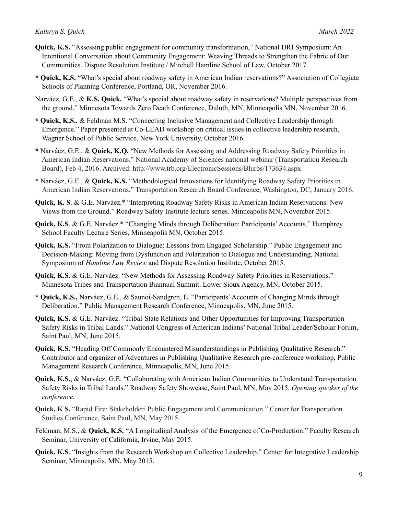- **Quick, K.S.** "Assessing public engagement for community transformation," National DRI Symposium: An Intentional Conversation about Community Engagement: Weaving Threads to Strengthen the Fabric of Our Communities. Dispute Resolution Institute / Mitchell Hamline School of Law, October 2017.
- **\* Quick, K.S.** "What's special about roadway safety in American Indian reservations?" Association of Collegiate Schools of Planning Conference, Portland, OR, November 2016.
- Narváez, G.E., & **K.S. Quick.** "What's special about roadway safety in reservations? Multiple perspectives from the ground." Minnesota Towards Zero Death Conference, Duluth, MN, Minneapolis MN, November 2016.
- **\* Quick, K.S.**, & Feldman M.S. "Connecting Inclusive Management and Collective Leadership through Emergence." Paper presented at Co-LEAD workshop on critical issues in collective leadership research, Wagner School of Public Service, New York University, October 2016.
- **\*** Narváez, G.E., & **Quick, K.Q.** "New Methods for Assessing and Addressing Roadway Safety Priorities in American Indian Reservations." National Academy of Sciences national webinar (Transportation Research Board), Feb 4, 2016. Archived: http://www.trb.org/ElectronicSessions/Blurbs/173634.aspx
- **\*** Narváez, G.E., & **Quick, K.S.** "Methodological Innovations for Identifying Roadway Safety Priorities in American Indian Reservations." Transportation Research Board Conference, Washington, DC, January 2016.
- **Quick, K. S**. & G.E. Narváez.\* "Interpreting Roadway Safety Risks in American Indian Reservations: New Views from the Ground." Roadway Safety Institute lecture series. Minneapolis MN, November 2015.
- **Quick, K.S**. & G.E. Narváez.\* "Changing Minds through Deliberation: Participants'Accounts." Humphrey School Faculty Lecture Series, Minneapolis MN, October 2015.
- **Quick, K.S.** "From Polarization to Dialogue: Lessons from Engaged Scholarship." Public Engagement and Decision-Making: Moving from Dysfunction and Polarization to Dialogue and Understanding, National Symposium of *Hamline Law Review* and Dispute Resolution Institute, October 2015.
- **Quick, K.S.** & G.E. Narváez. "New Methods for Assessing Roadway Safety Priorities in Reservations." Minnesota Tribes and Transportation Biannual Summit. Lower Sioux Agency, MN, October 2015.
- **\* Quick, K.S.,** Narváez, G.E., & Saunoi-Sandgren, E. "Participants'Accounts of Changing Minds through Deliberation." Public Management Research Conference, Minneapolis, MN, June 2015.
- **Quick, K.S.** & G.E. Narváez. "Tribal-State Relations and Other Opportunities for Improving Transportation Safety Risks in Tribal Lands." National Congress of American Indians' National Tribal Leader/Scholar Forum, Saint Paul, MN, June 2015.
- **Quick, K.S.** "Heading Off Commonly Encountered Misunderstandings in Publishing Qualitative Research." Contributor and organizer of Adventures in Publishing Qualitative Research pre-conference workshop, Public Management Research Conference, Minneapolis, MN, June 2015.
- **Quick, K.S.**, & Narváez, G.E. "Collaborating with American Indian Communities to Understand Transportation Safety Risks in Tribal Lands." Roadway Safety Showcase, Saint Paul, MN, May 2015. *Opening speaker of the conference.*
- **Quick, K S.** "Rapid Fire: Stakeholder/ Public Engagement and Communication." Center for Transportation Studies Conference, Saint Paul, MN, May 2015.
- Feldman, M.S., & **Quick, K.S.** "A Longitudinal Analysis of the Emergence of Co-Production." Faculty Research Seminar, University of California, Irvine, May 2015.
- **Quick, K.S**. "Insights from the Research Workshop on Collective Leadership." Center for Integrative Leadership Seminar, Minneapolis, MN, May 2015.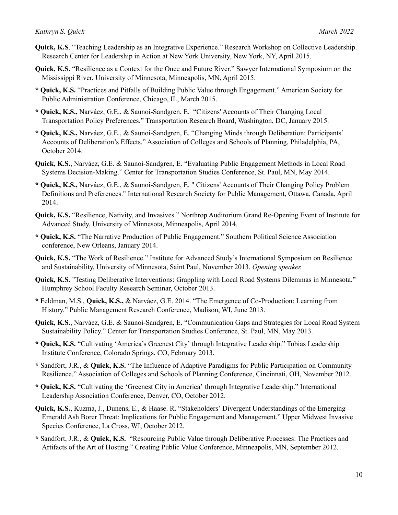- **Quick, K.S**. "Teaching Leadership as an Integrative Experience." Research Workshop on Collective Leadership. Research Center for Leadership in Action at New York University, New York, NY, April 2015.
- **Quick, K.S.** "Resilience as a Context for the Once and Future River." Sawyer International Symposium on the Mississippi River, University of Minnesota, Minneapolis, MN, April 2015.
- **\* Quick, K.S.** "Practices and Pitfalls of Building Public Value through Engagement." American Society for Public Administration Conference, Chicago, IL, March 2015.
- **\* Quick, K.S.,** Narváez, G.E., & Saunoi-Sandgren, E. "Citizens' Accounts of Their Changing Local Transportation Policy Preferences." Transportation Research Board, Washington, DC, January 2015.
- **\* Quick, K.S.,** Narváez, G.E., & Saunoi-Sandgren, E. "Changing Minds through Deliberation: Participants' Accounts of Deliberation's Effects." Association of Colleges and Schools of Planning, Philadelphia, PA, October 2014.
- **Quick, K.S.**, Narváez, G.E. & Saunoi-Sandgren, E. "Evaluating Public Engagement Methods in Local Road Systems Decision-Making." Center for Transportation Studies Conference, St. Paul, MN, May 2014.
- **\* Quick, K.S.,** Narváez, G.E., & Saunoi-Sandgren, E. " Citizens' Accounts of Their Changing Policy Problem Definitions and Preferences." International Research Society for Public Management, Ottawa, Canada, April 2014.
- **Quick, K.S.** "Resilience, Nativity, and Invasives." Northrop Auditorium Grand Re-Opening Event of Institute for Advanced Study, University of Minnesota, Minneapolis, April 2014.
- **\* Quick, K.S.** "The Narrative Production of Public Engagement." Southern Political Science Association conference, New Orleans, January 2014.
- **Quick, K.S.** "The Work of Resilience." Institute for Advanced Study's International Symposium on Resilience and Sustainability, University of Minnesota, Saint Paul, November 2013. *Opening speaker.*
- **Quick, K.S.** "Testing Deliberative Interventions: Grappling with Local Road Systems Dilemmas in Minnesota." Humphrey School Faculty Research Seminar, October 2013.
- **\*** Feldman, M.S., **Quick, K.S.,** & Narváez, G.E. 2014. "The Emergence of Co-Production: Learning from History." Public Management Research Conference, Madison, WI, June 2013.
- **Quick, K.S.**, Narváez, G.E. & Saunoi-Sandgren, E. "Communication Gaps and Strategies for Local Road System Sustainability Policy." Center for Transportation Studies Conference, St. Paul, MN, May 2013.
- **\* Quick, K.S.** "Cultivating 'America's Greenest City' through Integrative Leadership." Tobias Leadership Institute Conference, Colorado Springs, CO, February 2013.
- **\*** Sandfort, J.R., & **Quick, K.S.** "The Influence of Adaptive Paradigms for Public Participation on Community Resilience." Association of Colleges and Schools of Planning Conference, Cincinnati, OH, November 2012.
- **\* Quick, K.S.** "Cultivating the 'Greenest City in America' through Integrative Leadership." International Leadership Association Conference, Denver, CO, October 2012.
- **Quick, K.S.**, Kuzma, J., Dunens, E., & Haase. R. "Stakeholders' Divergent Understandings of the Emerging Emerald Ash Borer Threat: Implications for Public Engagement and Management." Upper Midwest Invasive Species Conference, La Cross, WI, October 2012.
- **\*** Sandfort, J.R., & **Quick, K.S.** "Resourcing Public Value through Deliberative Processes: The Practices and Artifacts of the Art of Hosting." Creating Public Value Conference, Minneapolis, MN, September 2012.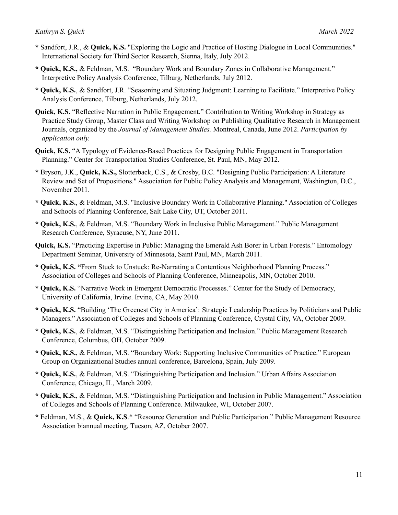- **\*** Sandfort, J.R., & **Quick, K.S.** "Exploring the Logic and Practice of Hosting Dialogue in Local Communities." International Society for Third Sector Research, Sienna, Italy, July 2012.
- **\* Quick, K.S.,** & Feldman, M.S. "Boundary Work and Boundary Zones in Collaborative Management." Interpretive Policy Analysis Conference, Tilburg, Netherlands, July 2012.
- **\* Quick, K.S.**, & Sandfort, J.R. "Seasoning and Situating Judgment: Learning to Facilitate." Interpretive Policy Analysis Conference, Tilburg, Netherlands, July 2012.
- **Quick, K.S.** "Reflective Narration in Public Engagement." Contribution to Writing Workshop in Strategy as Practice Study Group, Master Class and Writing Workshop on Publishing Qualitative Research in Management Journals, organized by the *Journal of Management Studies.* Montreal, Canada, June 2012. *Participation by application only.*
- **Quick, K.S.** "A Typology of Evidence-Based Practices for Designing Public Engagement in Transportation Planning." Center for Transportation Studies Conference, St. Paul, MN, May 2012.
- **\*** Bryson, J.K., **Quick, K.S.,** Slotterback, C.S., & Crosby, B.C. "Designing Public Participation: A Literature Review and Set of Propositions." Association for Public Policy Analysis and Management, Washington, D.C., November 2011.
- **\* Quick, K.S.**, & Feldman, M.S. "Inclusive Boundary Work in Collaborative Planning." Association of Colleges and Schools of Planning Conference, Salt Lake City, UT, October 2011.
- **\* Quick, K.S.**, & Feldman, M.S. "Boundary Work in Inclusive Public Management." Public Management Research Conference, Syracuse, NY, June 2011.
- **Quick, K.S.** "Practicing Expertise in Public: Managing the Emerald Ash Borer in Urban Forests." Entomology Department Seminar, University of Minnesota, Saint Paul, MN, March 2011.
- **\* Quick, K.S. "**From Stuck to Unstuck: Re-Narrating a Contentious Neighborhood Planning Process." Association of Colleges and Schools of Planning Conference, Minneapolis, MN, October 2010.
- **\* Quick, K.S.** "Narrative Work in Emergent Democratic Processes." Center for the Study of Democracy, University of California, Irvine. Irvine, CA, May 2010.
- **\* Quick, K.S.** "Building 'The Greenest City in America': Strategic Leadership Practices by Politicians and Public Managers." Association of Colleges and Schools of Planning Conference, Crystal City, VA, October 2009.
- **\* Quick, K.S.**, & Feldman, M.S. "Distinguishing Participation and Inclusion." Public Management Research Conference, Columbus, OH, October 2009.
- **\* Quick, K.S.**, & Feldman, M.S. "Boundary Work: Supporting Inclusive Communities of Practice." European Group on Organizational Studies annual conference, Barcelona, Spain, July 2009.
- **\* Quick, K.S.**, & Feldman, M.S. "Distinguishing Participation and Inclusion." Urban Affairs Association Conference, Chicago, IL, March 2009.
- **\* Quick, K.S.**, & Feldman, M.S. "Distinguishing Participation and Inclusion in Public Management." Association of Colleges and Schools of Planning Conference. Milwaukee, WI, October 2007.
- **\*** Feldman, M.S., & **Quick, K.S**.\* "Resource Generation and Public Participation." Public Management Resource Association biannual meeting, Tucson, AZ, October 2007.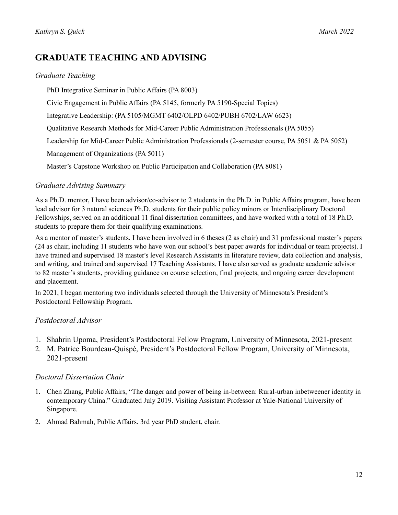# **GRADUATE TEACHING AND ADVISING**

### *Graduate Teaching*

PhD Integrative Seminar in Public Affairs (PA 8003)

Civic Engagement in Public Affairs (PA 5145, formerly PA 5190-Special Topics)

Integrative Leadership: (PA 5105/MGMT 6402/OLPD 6402/PUBH 6702/LAW 6623)

Qualitative Research Methods for Mid-Career Public Administration Professionals (PA 5055)

Leadership for Mid-Career Public Administration Professionals (2-semester course, PA 5051 & PA 5052)

Management of Organizations (PA 5011)

Master's Capstone Workshop on Public Participation and Collaboration (PA 8081)

## *Graduate Advising Summary*

As a Ph.D. mentor, I have been advisor/co-advisor to 2 students in the Ph.D. in Public Affairs program, have been lead advisor for 3 natural sciences Ph.D. students for their public policy minors or Interdisciplinary Doctoral Fellowships, served on an additional 11 final dissertation committees, and have worked with a total of 18 Ph.D. students to prepare them for their qualifying examinations.

As a mentor of master's students, I have been involved in 6 theses (2 as chair) and 31 professional master's papers (24 as chair, including 11 students who have won our school's best paper awards for individual or team projects). I have trained and supervised 18 master's level Research Assistants in literature review, data collection and analysis, and writing, and trained and supervised 17 Teaching Assistants. I have also served as graduate academic advisor to 82 master's students, providing guidance on course selection, final projects, and ongoing career development and placement.

In 2021, I began mentoring two individuals selected through the University of Minnesota's President's Postdoctoral Fellowship Program.

## *Postdoctoral Advisor*

- 1. Shahrin Upoma, President's Postdoctoral Fellow Program, University of Minnesota, 2021-present
- 2. M. Patrice Bourdeau-Quispé, President's Postdoctoral Fellow Program, University of Minnesota, 2021-present

#### *Doctoral Dissertation Chair*

- 1. Chen Zhang, Public Affairs, "The danger and power of being in-between: Rural-urban inbetweener identity in contemporary China." Graduated July 2019. Visiting Assistant Professor at Yale-National University of Singapore.
- 2. Ahmad Bahmah, Public Affairs. 3rd year PhD student, chair.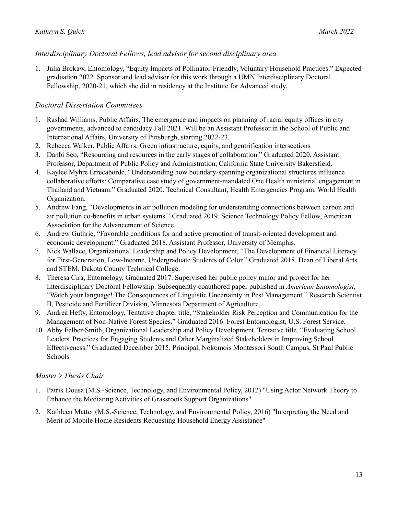## *Interdisciplinary Doctoral Fellows, lead advisor for second disciplinary area*

1. Julia Brokaw, Entomology, "Equity Impacts of Pollinator-Friendly, Voluntary Household Practices." Expected graduation 2022. Sponsor and lead advisor for this work through a UMN Interdisciplinary Doctoral Fellowship, 2020-21, which she did in residency at the Institute for Advanced study.

## *Doctoral Dissertation Committees*

- 1. Rashad Williams, Public Affairs, The emergence and impacts on planning of racial equity offices in city governments, advanced to candidacy Fall 2021. Will be an Assistant Professor in the School of Public and International Affairs, University of Pittsburgh, starting 2022-23.
- 2. Rebecca Walker, Public Affairs, Green infrastructure, equity, and gentrification intersections
- 3. Danbi Seo, "Resourcing and resources in the early stages of collaboration." Graduated 2020. Assistant Professor, Department of Public Policy and Administration, California State University Bakersfield.
- 4. Kaylee Myhre Errecaborde, "Understanding how boundary-spanning organizational structures influence collaborative efforts: Comparative case study of government-mandated One Health ministerial engagement in Thailand and Vietnam." Graduated 2020. Technical Consultant, Health Emergencies Program, World Health Organization.
- 5. Andrew Fang, "Developments in air pollution modeling for understanding connections between carbon and air pollution co-benefits in urban systems." Graduated 2019. Science Technology Policy Fellow, American Association for the Advancement of Science.
- 6. Andrew Guthrie, "Favorable conditions for and active promotion of transit-oriented development and economic development." Graduated 2018. Assistant Professor, University of Memphis.
- 7. Nick Wallace, Organizational Leadership and Policy Development, "The Development of Financial Literacy for First-Generation, Low-Income, Undergraduate Students of Color." Graduated 2018. Dean of Liberal Arts and STEM, Dakota County Technical College.
- 8. Theresa Cira, Entomology, Graduated 2017. Supervised her public policy minor and project for her Interdisciplinary Doctoral Fellowship. Subsequently coauthored paper published in *American Entomologist*, "Watch your language! The Consequences of Linguistic Uncertainty in Pest Management." Research Scientist II, Pesticide and Fertilizer Division, Minnesota Department of Agriculture.
- 9. Andrea Hefty, Entomology, Tentative chapter title, "Stakeholder Risk Perception and Communication for the Management of Non-Native Forest Species." Graduated 2016. Forest Entomologist, U.S. Forest Service.
- 10. Abby Felber-Smith, Organizational Leadership and Policy Development. Tentative title, "Evaluating School Leaders' Practices for Engaging Students and Other Marginalized Stakeholders in Improving School Effectiveness." Graduated December 2015. Principal, Nokomois Montessori South Campus, St Paul Public Schools

## *Master's Thesis Chair*

- 1. Patrik Dousa (M.S.-Science, Technology, and Environmental Policy, 2012) "Using Actor Network Theory to Enhance the Mediating Activities of Grassroots Support Organizations"
- 2. Kathleen Matter (M.S.-Science, Technology, and Environmental Policy, 2016) "Interpreting the Need and Merit of Mobile Home Residents Requesting Household Energy Assistance"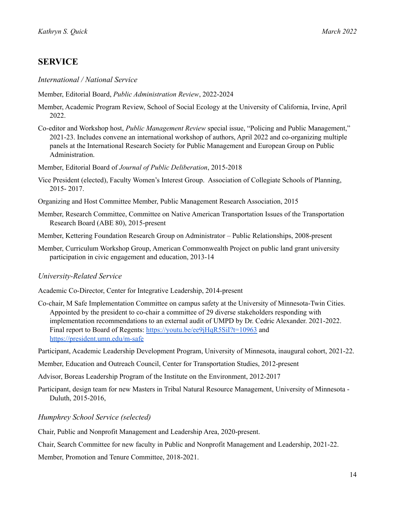# **SERVICE**

*International / National Service*

Member, Editorial Board, *Public Administration Review*, 2022-2024

- Member, Academic Program Review, School of Social Ecology at the University of California, Irvine, April 2022.
- Co-editor and Workshop host, *Public Management Review* special issue, "Policing and Public Management," 2021-23. Includes convene an international workshop of authors, April 2022 and co-organizing multiple panels at the International Research Society for Public Management and European Group on Public Administration.

Member, Editorial Board of *Journal of Public Deliberation*, 2015-2018

- Vice President (elected), Faculty Women's Interest Group. Association of Collegiate Schools of Planning, 2015- 2017.
- Organizing and Host Committee Member, Public Management Research Association, 2015
- Member, Research Committee, Committee on Native American Transportation Issues of the Transportation Research Board (ABE 80), 2015-present
- Member, Kettering Foundation Research Group on Administrator Public Relationships, 2008-present
- Member, Curriculum Workshop Group, American Commonwealth Project on public land grant university participation in civic engagement and education, 2013-14

## *University-Related Service*

Academic Co-Director, Center for Integrative Leadership, 2014-present

Co-chair, M Safe Implementation Committee on campus safety at the University of Minnesota-Twin Cities. Appointed by the president to co-chair a committee of 29 diverse stakeholders responding with implementation recommendations to an external audit of UMPD by Dr. Cedric Alexander. 2021-2022. Final report to Board of Regents: <https://youtu.be/ee9jHqR5SiI?t=10963> and <https://president.umn.edu/m-safe>

Participant, Academic Leadership Development Program, University of Minnesota, inaugural cohort, 2021-22.

- Member, Education and Outreach Council, Center for Transportation Studies, 2012-present
- Advisor, Boreas Leadership Program of the Institute on the Environment, 2012-2017
- Participant, design team for new Masters in Tribal Natural Resource Management, University of Minnesota Duluth, 2015-2016,

#### *Humphrey School Service (selected)*

Chair, Public and Nonprofit Management and Leadership Area, 2020-present.

Chair, Search Committee for new faculty in Public and Nonprofit Management and Leadership, 2021-22.

Member, Promotion and Tenure Committee, 2018-2021.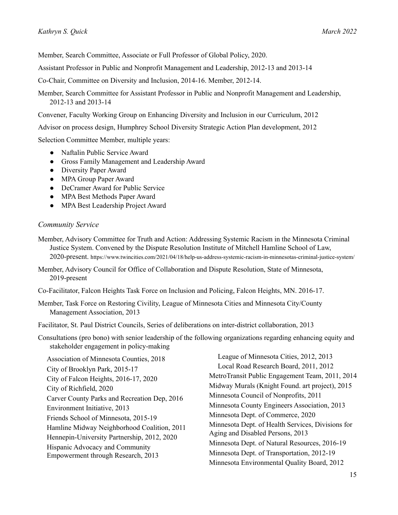Member, Search Committee, Associate or Full Professor of Global Policy, 2020.

Assistant Professor in Public and Nonprofit Management and Leadership, 2012-13 and 2013-14

Co-Chair, Committee on Diversity and Inclusion, 2014-16. Member, 2012-14.

Member, Search Committee for Assistant Professor in Public and Nonprofit Management and Leadership, 2012-13 and 2013-14

Convener, Faculty Working Group on Enhancing Diversity and Inclusion in our Curriculum, 2012

Advisor on process design, Humphrey School Diversity Strategic Action Plan development, 2012

Selection Committee Member, multiple years:

- Naftalin Public Service Award
- Gross Family Management and Leadership Award
- Diversity Paper Award
- MPA Group Paper Award
- DeCramer Award for Public Service
- MPA Best Methods Paper Award
- MPA Best Leadership Project Award

#### *Community Service*

Member, Advisory Committee for Truth and Action: Addressing Systemic Racism in the Minnesota Criminal Justice System. Convened by the Dispute Resolution Institute of Mitchell Hamline School of Law, 2020-present. https://www.twincities.com/2021/04/18/help-us-address-systemic-racism-in-minnesotas-criminal-justice-system/

Member, Advisory Council for Office of Collaboration and Dispute Resolution, State of Minnesota, 2019-present

Co-Facilitator, Falcon Heights Task Force on Inclusion and Policing, Falcon Heights, MN. 2016-17.

Member, Task Force on Restoring Civility, League of Minnesota Cities and Minnesota City/County Management Association, 2013

Facilitator, St. Paul District Councils, Series of deliberations on inter-district collaboration, 2013

Consultations (pro bono) with senior leadership of the following organizations regarding enhancing equity and stakeholder engagement in policy-making

Association of Minnesota Counties, 2018 City of Brooklyn Park, 2015-17 City of Falcon Heights, 2016-17, 2020 City of Richfield, 2020 Carver County Parks and Recreation Dep, 2016 Environment Initiative, 2013 Friends School of Minnesota, 2015-19 Hamline Midway Neighborhood Coalition, 2011 Hennepin-University Partnership, 2012, 2020 Hispanic Advocacy and Community Empowerment through Research, 2013

League of Minnesota Cities, 2012, 2013 Local Road Research Board, 2011, 2012 MetroTransit Public Engagement Team, 2011, 2014 Midway Murals (Knight Found. art project), 2015 Minnesota Council of Nonprofits, 2011 Minnesota County Engineers Association, 2013 Minnesota Dept. of Commerce, 2020 Minnesota Dept. of Health Services, Divisions for Aging and Disabled Persons, 2013 Minnesota Dept. of Natural Resources, 2016-19 Minnesota Dept. of Transportation, 2012-19 Minnesota Environmental Quality Board, 2012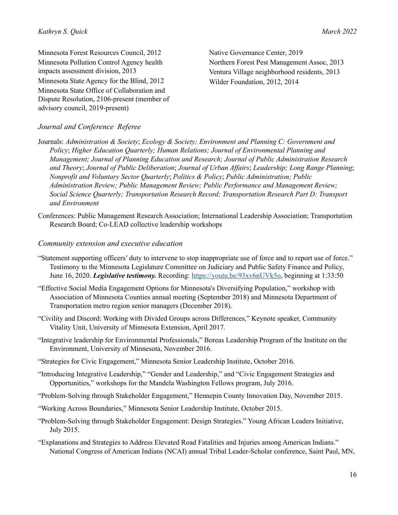Minnesota Forest Resources Council, 2012 Minnesota Pollution Control Agency health impacts assessment division, 2013 Minnesota State Agency for the Blind, 2012 Minnesota State Office of Collaboration and Dispute Resolution, 2106-present (member of advisory council, 2019-present)

Native Governance Center, 2019 Northern Forest Pest Management Assoc, 2013 Ventura Village neighborhood residents, 2013 Wilder Foundation, 2012, 2014

## *Journal and Conference Referee*

Journals: *Administration & Society*; *Ecology & Society; Environment and Planning C: Government and Policy*; *Higher Education Quarterly; Human Relations; Journal of Environmental Planning and Management; Journal of Planning Education and Research; Journal of Public Administration Research and Theory*; *Journal of Public Deliberation*; *Journal of Urban Af airs*; *Leadership; Long Range Planning*; *Nonprofit and Voluntary Sector Quarterly*; *Politics & Policy*; *Public Administration; Public Administration Review; Public Management Review; Public Performance and Management Review; Social Science Quarterly; Transportation Research Record; Transportation Research Part D: Transport and Environment*

Conferences: Public Management Research Association; International Leadership Association; Transportation Research Board; Co-LEAD collective leadership workshops

#### *Community extension and executive education*

- "Statement supporting officers' duty to intervene to stop inappropriate use of force and to report use of force." Testimony to the Minnesota Legislature Committee on Judiciary and Public Safety Finance and Policy, June 16, 2020. *Legislative testimony.* Recording: <https://youtu.be/93xv6nUVk5o>, beginning at 1:33:50
- "Effective Social Media Engagement Options for Minnesota's Diversifying Population," workshop with Association of Minnesota Counties annual meeting (September 2018) and Minnesota Department of Transportation metro region senior managers (December 2018).
- "Civility and Discord: Working with Divided Groups across Differences," Keynote speaker, Community Vitality Unit, University of Minnesota Extension, April 2017.
- "Integrative leadership for Environmental Professionals," Boreas Leadership Program of the Institute on the Environment, University of Minnesota, November 2016.
- "Strategies for Civic Engagement," Minnesota Senior Leadership Institute, October 2016.
- "Introducing Integrative Leadership," "Gender and Leadership," and "Civic Engagement Strategies and Opportunities," workshops for the Mandela Washington Fellows program, July 2016.
- "Problem-Solving through Stakeholder Engagement," Hennepin County Innovation Day, November 2015.
- "Working Across Boundaries," Minnesota Senior Leadership Institute, October 2015.
- "Problem-Solving through Stakeholder Engagement: Design Strategies." Young African Leaders Initiative, July 2015.
- "Explanations and Strategies to Address Elevated Road Fatalities and Injuries among American Indians." National Congress of American Indians (NCAI) annual Tribal Leader-Scholar conference, Saint Paul, MN,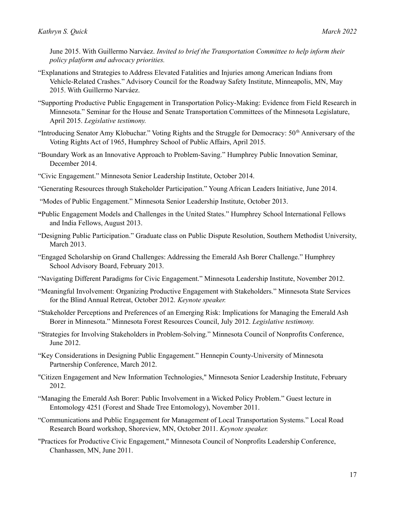June 2015. With Guillermo Narváez. *Invited to brief the Transportation Committee to help inform their policy platform and advocacy priorities.*

- "Explanations and Strategies to Address Elevated Fatalities and Injuries among American Indians from Vehicle-Related Crashes." Advisory Council for the Roadway Safety Institute, Minneapolis, MN, May 2015. With Guillermo Narváez.
- "Supporting Productive Public Engagement in Transportation Policy-Making: Evidence from Field Research in Minnesota." Seminar for the House and Senate Transportation Committees of the Minnesota Legislature, April 2015. *Legislative testimony.*
- "Introducing Senator Amy Klobuchar." Voting Rights and the Struggle for Democracy: 50<sup>th</sup> Anniversary of the Voting Rights Act of 1965, Humphrey School of Public Affairs, April 2015.
- "Boundary Work as an Innovative Approach to Problem-Saving." Humphrey Public Innovation Seminar, December 2014.
- "Civic Engagement." Minnesota Senior Leadership Institute, October 2014.
- "Generating Resources through Stakeholder Participation." Young African Leaders Initiative, June 2014.
- "Modes of Public Engagement." Minnesota Senior Leadership Institute, October 2013.
- **"**Public Engagement Models and Challenges in the United States." Humphrey School International Fellows and India Fellows, August 2013.
- "Designing Public Participation." Graduate class on Public Dispute Resolution, Southern Methodist University, March 2013.
- "Engaged Scholarship on Grand Challenges: Addressing the Emerald Ash Borer Challenge." Humphrey School Advisory Board, February 2013.
- "Navigating Different Paradigms for Civic Engagement." Minnesota Leadership Institute, November 2012.
- "Meaningful Involvement: Organizing Productive Engagement with Stakeholders." Minnesota State Services for the Blind Annual Retreat, October 2012. *Keynote speaker.*
- "Stakeholder Perceptions and Preferences of an Emerging Risk: Implications for Managing the Emerald Ash Borer in Minnesota." Minnesota Forest Resources Council, July 2012. *Legislative testimony.*
- "Strategies for Involving Stakeholders in Problem-Solving." Minnesota Council of Nonprofits Conference, June 2012.
- "Key Considerations in Designing Public Engagement." Hennepin County-University of Minnesota Partnership Conference, March 2012.
- "Citizen Engagement and New Information Technologies," Minnesota Senior Leadership Institute, February 2012.
- "Managing the Emerald Ash Borer: Public Involvement in a Wicked Policy Problem." Guest lecture in Entomology 4251 (Forest and Shade Tree Entomology), November 2011.
- "Communications and Public Engagement for Management of Local Transportation Systems." Local Road Research Board workshop, Shoreview, MN, October 2011. *Keynote speaker.*
- "Practices for Productive Civic Engagement," Minnesota Council of Nonprofits Leadership Conference, Chanhassen, MN, June 2011.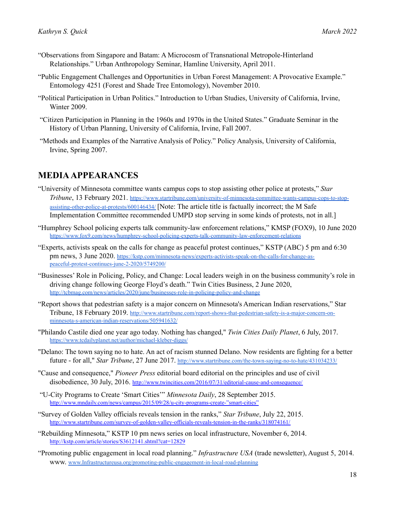- "Observations from Singapore and Batam: A Microcosm of Transnational Metropole-Hinterland Relationships." Urban Anthropology Seminar, Hamline University, April 2011.
- "Public Engagement Challenges and Opportunities in Urban Forest Management: A Provocative Example." Entomology 4251 (Forest and Shade Tree Entomology), November 2010.
- "Political Participation in Urban Politics." Introduction to Urban Studies, University of California, Irvine, Winter 2009.
- "Citizen Participation in Planning in the 1960s and 1970s in the United States." Graduate Seminar in the History of Urban Planning, University of California, Irvine, Fall 2007.
- "Methods and Examples of the Narrative Analysis of Policy." Policy Analysis, University of California, Irvine, Spring 2007.

## **MEDIAAPPEARANCES**

- "University of Minnesota committee wants campus cops to stop assisting other police at protests," *Star Tribune*, 13 February 2021. [https://www.startribune.com/university-of-minnesota-committee-wants-campus-cops-to-stop](https://www.startribune.com/university-of-minnesota-committee-wants-campus-cops-to-stop-assisting-other-police-at-protests/600146434/)[assisting-other-police-at-protests/600146434/](https://www.startribune.com/university-of-minnesota-committee-wants-campus-cops-to-stop-assisting-other-police-at-protests/600146434/) [Note: The article title is factually incorrect; the M Safe Implementation Committee recommended UMPD stop serving in some kinds of protests, not in all.]
- "Humphrey School policing experts talk community-law enforcement relations," KMSP (FOX9), 10 June 2020 <https://www.fox9.com/news/humphrey-school-policing-experts-talk-community-law-enforcement-relations>
- "Experts, activists speak on the calls for change as peaceful protest continues," KSTP (ABC) 5 pm and 6:30 pm news, 3 June 2020. [https://kstp.com/minnesota-news/experts-activists-speak-on-the-calls-for-change-as](https://kstp.com/minnesota-news/experts-activists-speak-on-the-calls-for-change-as-peaceful-protest-continues-june-2-2020/5749200/)[peaceful-protest-continues-june-2-2020/5749200/](https://kstp.com/minnesota-news/experts-activists-speak-on-the-calls-for-change-as-peaceful-protest-continues-june-2-2020/5749200/)
- "Businesses' Role in Policing, Policy, and Change: Local leaders weigh in on the business community's role in driving change following George Floyd's death." Twin Cities Business, 2 June 2020, <http://tcbmag.com/news/articles/2020/june/businesses-role-in-policing-policy-and-change>
- "Report shows that pedestrian safety is a major concern on Minnesota's American Indian reservations," Star Tribune, 18 February 2019. [http://www.startribune.com/report-shows-that-pedestrian-safety-is-a-major-concern-on](http://www.startribune.com/report-shows-that-pedestrian-safety-is-a-major-concern-on-minnesota-s-american-indian-reservations/505941632/)[minnesota-s-american-indian-reservations/505941632/](http://www.startribune.com/report-shows-that-pedestrian-safety-is-a-major-concern-on-minnesota-s-american-indian-reservations/505941632/)
- "Philando Castile died one year ago today. Nothing has changed," *Twin Cities Daily Planet*, 6 July, 2017. <https://www.tcdailyplanet.net/author/michael-kleber-diggs/>
- "Delano: The town saying no to hate. An act of racism stunned Delano. Now residents are fighting for a better future - for all," *Star Tribune*, 27 June 2017. <http://www.startribune.com/the-town-saying-no-to-hate/431034233/>
- "Cause and consequence," *Pioneer Press* editorial board editorial on the principles and use of civil disobedience, 30 July, 2016. <http://www.twincities.com/2016/07/31/editorial-cause-and-consequence/>
- "U-City Programs to Create 'Smart Cities'" *Minnesota Daily*, 28 September 2015. [http://www.mndaily.com/news/campus/2015/09/28/u-city-programs-create-"smart-cities"](http://www.mndaily.com/news/campus/2015/09/28/u-city-programs-create-%E2%80%9Dsmart-cities%E2%80%9D)
- "Survey of Golden Valley officials reveals tension in the ranks," *Star Tribune*, July 22, 2015. <http://www.startribune.com/survey-of-golden-valley-officials-reveals-tension-in-the-ranks/318074161/>
- "Rebuilding Minnesota," KSTP 10 pm news series on local infrastructure, November 6, 2014. <http://kstp.com/article/stories/S3612141.shtml?cat=12829>
- "Promoting public engagement in local road planning." *Infrastructure USA* (trade newsletter), August 5, 2014. www. [www.Infrastructureusa.org/promoting-public-engagement-in-local-road-planning](http://www.infrastructureusa.org/promoting-public-engagement-in-local-road-planning)